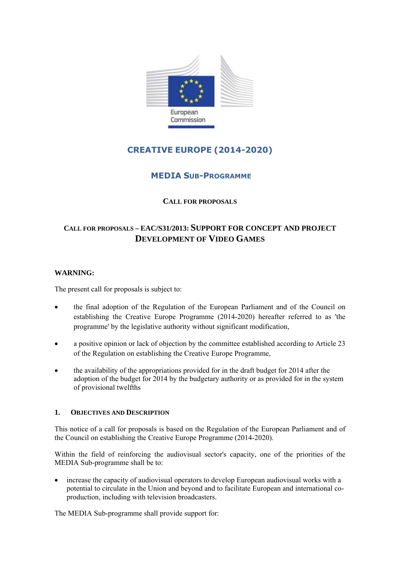

# **CREATIVE EUROPE (2014-2020)**

## **MEDIA SUB-PROGRAMME**

## **CALL FOR PROPOSALS**

## **CALL FOR PROPOSALS – EAC/S31/2013: SUPPORT FOR CONCEPT AND PROJECT DEVELOPMENT OF VIDEO GAMES**

## **WARNING:**

The present call for proposals is subject to:

- the final adoption of the Regulation of the European Parliament and of the Council on establishing the Creative Europe Programme (2014-2020) hereafter referred to as 'the programme' by the legislative authority without significant modification,
- a positive opinion or lack of objection by the committee established according to Article 23 of the Regulation on establishing the Creative Europe Programme,
- the availability of the appropriations provided for in the draft budget for 2014 after the adoption of the budget for 2014 by the budgetary authority or as provided for in the system of provisional twelfths

## **1. OBJECTIVES AND DESCRIPTION**

This notice of a call for proposals is based on the Regulation of the European Parliament and of the Council on establishing the Creative Europe Programme (2014-2020).

Within the field of reinforcing the audiovisual sector's capacity, one of the priorities of the MEDIA Sub-programme shall be to:

• increase the capacity of audiovisual operators to develop European audiovisual works with a potential to circulate in the Union and beyond and to facilitate European and international coproduction, including with television broadcasters.

The MEDIA Sub-programme shall provide support for: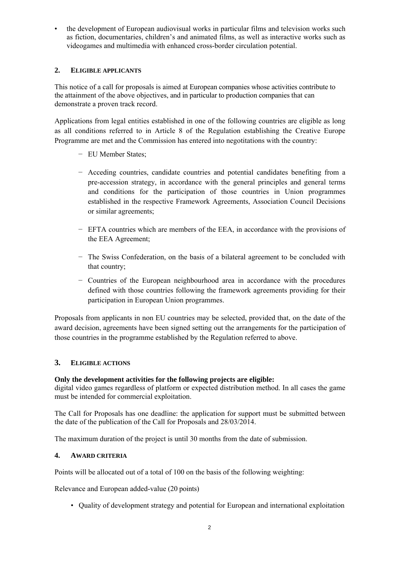• the development of European audiovisual works in particular films and television works such as fiction, documentaries, children's and animated films, as well as interactive works such as videogames and multimedia with enhanced cross-border circulation potential.

## **2. ELIGIBLE APPLICANTS**

This notice of a call for proposals is aimed at European companies whose activities contribute to the attainment of the above objectives, and in particular to production companies that can demonstrate a proven track record.

Applications from legal entities established in one of the following countries are eligible as long as all conditions referred to in Article 8 of the Regulation establishing the Creative Europe Programme are met and the Commission has entered into negotitations with the country:

- − EU Member States;
- − Acceding countries, candidate countries and potential candidates benefiting from a pre-accession strategy, in accordance with the general principles and general terms and conditions for the participation of those countries in Union programmes established in the respective Framework Agreements, Association Council Decisions or similar agreements;
- − EFTA countries which are members of the EEA, in accordance with the provisions of the EEA Agreement;
- − The Swiss Confederation, on the basis of a bilateral agreement to be concluded with that country;
- − Countries of the European neighbourhood area in accordance with the procedures defined with those countries following the framework agreements providing for their participation in European Union programmes.

Proposals from applicants in non EU countries may be selected, provided that, on the date of the award decision, agreements have been signed setting out the arrangements for the participation of those countries in the programme established by the Regulation referred to above.

## **3. ELIGIBLE ACTIONS**

## **Only the development activities for the following projects are eligible:**

digital video games regardless of platform or expected distribution method. In all cases the game must be intended for commercial exploitation.

The Call for Proposals has one deadline: the application for support must be submitted between the date of the publication of the Call for Proposals and 28/03/2014.

The maximum duration of the project is until 30 months from the date of submission.

#### **4. AWARD CRITERIA**

Points will be allocated out of a total of 100 on the basis of the following weighting:

Relevance and European added-value (20 points)

• Quality of development strategy and potential for European and international exploitation